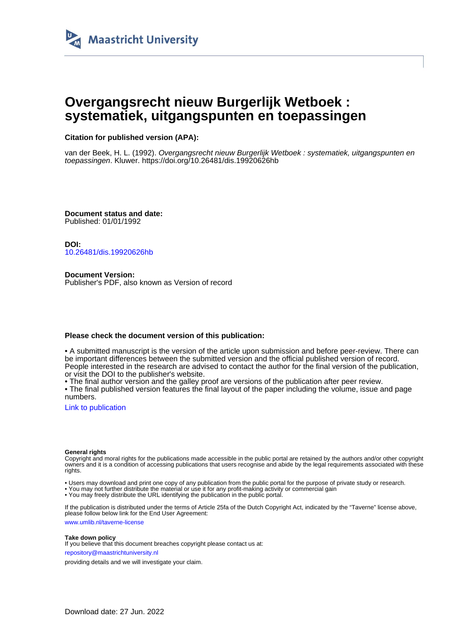

# **Overgangsrecht nieuw Burgerlijk Wetboek : systematiek, uitgangspunten en toepassingen**

## **Citation for published version (APA):**

van der Beek, H. L. (1992). Overgangsrecht nieuw Burgerlijk Wetboek : systematiek, uitgangspunten en toepassingen. Kluwer.<https://doi.org/10.26481/dis.19920626hb>

**Document status and date:** Published: 01/01/1992

**DOI:** [10.26481/dis.19920626hb](https://doi.org/10.26481/dis.19920626hb)

**Document Version:** Publisher's PDF, also known as Version of record

### **Please check the document version of this publication:**

• A submitted manuscript is the version of the article upon submission and before peer-review. There can be important differences between the submitted version and the official published version of record. People interested in the research are advised to contact the author for the final version of the publication, or visit the DOI to the publisher's website.

• The final author version and the galley proof are versions of the publication after peer review.

• The final published version features the final layout of the paper including the volume, issue and page numbers.

[Link to publication](https://cris.maastrichtuniversity.nl/en/publications/fc377b71-ad14-4c38-b458-6194e4cf2d13)

#### **General rights**

Copyright and moral rights for the publications made accessible in the public portal are retained by the authors and/or other copyright owners and it is a condition of accessing publications that users recognise and abide by the legal requirements associated with these rights.

• Users may download and print one copy of any publication from the public portal for the purpose of private study or research.

• You may not further distribute the material or use it for any profit-making activity or commercial gain

• You may freely distribute the URL identifying the publication in the public portal.

If the publication is distributed under the terms of Article 25fa of the Dutch Copyright Act, indicated by the "Taverne" license above, please follow below link for the End User Agreement:

www.umlib.nl/taverne-license

#### **Take down policy**

If you believe that this document breaches copyright please contact us at: repository@maastrichtuniversity.nl

providing details and we will investigate your claim.